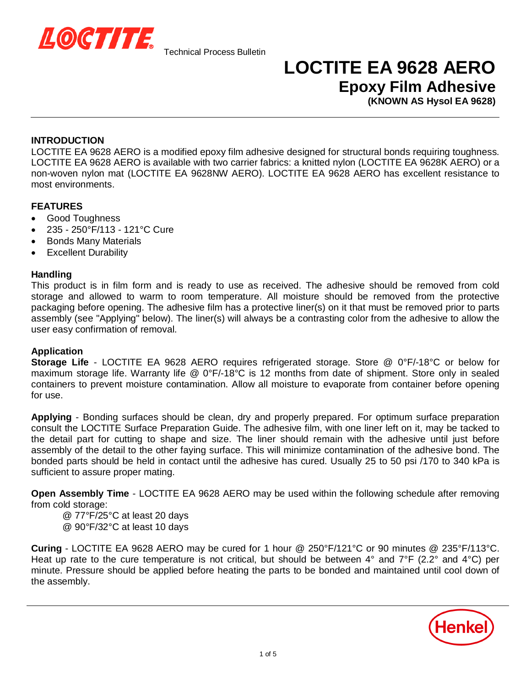

### **LOCTITE EA 9628 AERO Epoxy Film Adhesive**

**(KNOWN AS Hysol EA 9628)**

#### **INTRODUCTION**

LOCTITE EA 9628 AERO is a modified epoxy film adhesive designed for structural bonds requiring toughness. LOCTITE EA 9628 AERO is available with two carrier fabrics: a knitted nylon (LOCTITE EA 9628K AERO) or a non-woven nylon mat (LOCTITE EA 9628NW AERO). LOCTITE EA 9628 AERO has excellent resistance to most environments.

### **FEATURES**

- Good Toughness
- x 235 250°F/113 121°C Cure
- **•** Bonds Many Materials
- Excellent Durability

#### **Handling**

This product is in film form and is ready to use as received. The adhesive should be removed from cold storage and allowed to warm to room temperature. All moisture should be removed from the protective packaging before opening. The adhesive film has a protective liner(s) on it that must be removed prior to parts assembly (see "Applying" below). The liner(s) will always be a contrasting color from the adhesive to allow the user easy confirmation of removal.

#### **Application**

**Storage Life** - LOCTITE EA 9628 AERO requires refrigerated storage. Store @ 0°F/-18°C or below for maximum storage life. Warranty life @ 0°F/-18°C is 12 months from date of shipment. Store only in sealed containers to prevent moisture contamination. Allow all moisture to evaporate from container before opening for use.

**Applying** - Bonding surfaces should be clean, dry and properly prepared. For optimum surface preparation consult the LOCTITE Surface Preparation Guide. The adhesive film, with one liner left on it, may be tacked to the detail part for cutting to shape and size. The liner should remain with the adhesive until just before assembly of the detail to the other faying surface. This will minimize contamination of the adhesive bond. The bonded parts should be held in contact until the adhesive has cured. Usually 25 to 50 psi /170 to 340 kPa is sufficient to assure proper mating.

**Open Assembly Time** - LOCTITE EA 9628 AERO may be used within the following schedule after removing from cold storage:

- @ 77°F/25°C at least 20 days
- @ 90°F/32°C at least 10 days

**Curing** - LOCTITE EA 9628 AERO may be cured for 1 hour @ 250°F/121°C or 90 minutes @ 235°F/113°C. Heat up rate to the cure temperature is not critical, but should be between 4° and 7°F (2.2° and 4°C) per minute. Pressure should be applied before heating the parts to be bonded and maintained until cool down of the assembly.

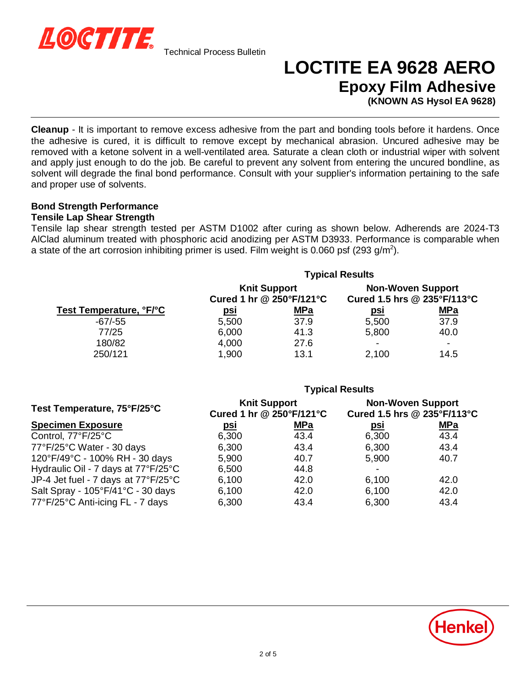

# **LOCTITE EA 9628 AERO Epoxy Film Adhesive**

**(KNOWN AS Hysol EA 9628)**

**Cleanup** - It is important to remove excess adhesive from the part and bonding tools before it hardens. Once the adhesive is cured, it is difficult to remove except by mechanical abrasion. Uncured adhesive may be removed with a ketone solvent in a well-ventilated area. Saturate a clean cloth or industrial wiper with solvent and apply just enough to do the job. Be careful to prevent any solvent from entering the uncured bondline, as solvent will degrade the final bond performance. Consult with your supplier's information pertaining to the safe and proper use of solvents.

### **Bond Strength Performance**

#### **Tensile Lap Shear Strength**

Tensile lap shear strength tested per ASTM D1002 after curing as shown below. Adherends are 2024-T3 AlClad aluminum treated with phosphoric acid anodizing per ASTM D3933. Performance is comparable when a state of the art corrosion inhibiting primer is used. Film weight is 0.060 psf (293 g/m<sup>2</sup>).

| Test Temperature, °F/°C | <b>Typical Results</b>                          |            |                                                         |                          |
|-------------------------|-------------------------------------------------|------------|---------------------------------------------------------|--------------------------|
|                         | <b>Knit Support</b><br>Cured 1 hr @ 250°F/121°C |            | <b>Non-Woven Support</b><br>Cured 1.5 hrs @ 235°F/113°C |                          |
|                         | <u>psi</u>                                      | <u>MPa</u> | <u>psi</u>                                              | <u>MPa</u>               |
| $-67/-55$               | 5,500                                           | 37.9       | 5,500                                                   | 37.9                     |
| 77/25                   | 6,000                                           | 41.3       | 5,800                                                   | 40.0                     |
| 180/82                  | 4,000                                           | 27.6       | -                                                       | $\overline{\phantom{a}}$ |
| 250/121                 | 1,900                                           | 13.1       | 2,100                                                   | 14.5                     |

|                                     | <b>Typical Results</b>                          |            |                                                         |            |
|-------------------------------------|-------------------------------------------------|------------|---------------------------------------------------------|------------|
| Test Temperature, 75°F/25°C         | <b>Knit Support</b><br>Cured 1 hr @ 250°F/121°C |            | <b>Non-Woven Support</b><br>Cured 1.5 hrs @ 235°F/113°C |            |
| <b>Specimen Exposure</b>            | <u>psi</u>                                      | <b>MPa</b> | <u>psi</u>                                              | <b>MPa</b> |
| Control, 77°F/25°C                  | 6,300                                           | 43.4       | 6,300                                                   | 43.4       |
| 77°F/25°C Water - 30 days           | 6,300                                           | 43.4       | 6,300                                                   | 43.4       |
| 120°F/49°C - 100% RH - 30 days      | 5,900                                           | 40.7       | 5,900                                                   | 40.7       |
| Hydraulic Oil - 7 days at 77°F/25°C | 6,500                                           | 44.8       |                                                         |            |
| JP-4 Jet fuel - 7 days at 77°F/25°C | 6,100                                           | 42.0       | 6,100                                                   | 42.0       |
| Salt Spray - 105°F/41°C - 30 days   | 6,100                                           | 42.0       | 6,100                                                   | 42.0       |
| 77°F/25°C Anti-icing FL - 7 days    | 6,300                                           | 43.4       | 6,300                                                   | 43.4       |

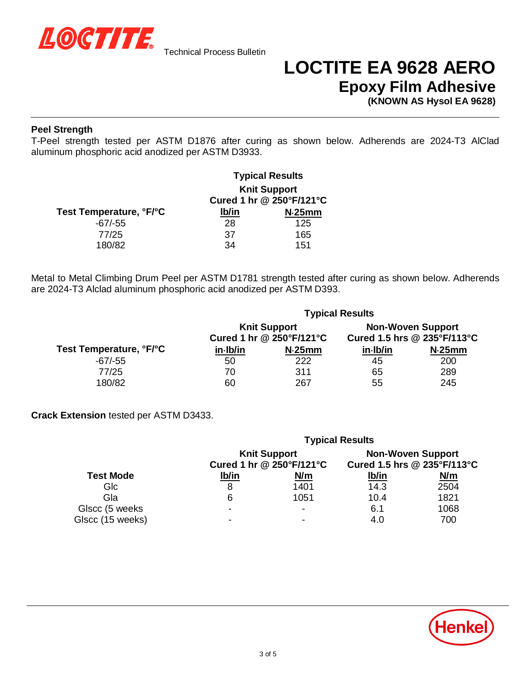

## **LOCTITE EA 9628 AERO Epoxy Film Adhesive**

**(KNOWN AS Hysol EA 9628)**

#### **Peel Strength**

T-Peel strength tested per ASTM D1876 after curing as shown below. Adherends are 2024-T3 AlClad aluminum phosphoric acid anodized per ASTM D3933.

|                         | <b>Typical Results</b>                          |        |  |
|-------------------------|-------------------------------------------------|--------|--|
|                         | <b>Knit Support</b><br>Cured 1 hr @ 250°F/121°C |        |  |
| Test Temperature, °F/°C | lb/in                                           | N.25mm |  |
| $-67/-55$               | 28                                              | 125    |  |
| 77/25                   | 37                                              | 165    |  |
| 180/82                  | 34                                              | 151    |  |

Metal to Metal Climbing Drum Peel per ASTM D1781 strength tested after curing as shown below. Adherends are 2024-T3 Alclad aluminum phosphoric acid anodized per ASTM D393.

| Test Temperature, °F/°C | <b>Typical Results</b>                          |        |                                                         |        |
|-------------------------|-------------------------------------------------|--------|---------------------------------------------------------|--------|
|                         | <b>Knit Support</b><br>Cured 1 hr @ 250°F/121°C |        | <b>Non-Woven Support</b><br>Cured 1.5 hrs @ 235°F/113°C |        |
|                         | in Ib/in                                        | N.25mm | $in$ lb/in                                              | N.25mm |
| $-67/-55$               | 50                                              | 222    | 45                                                      | 200    |
| 77/25                   | 70                                              | 311    | 65                                                      | 289    |
| 180/82                  | 60                                              | 267    | 55                                                      | 245    |

**Crack Extension** tested per ASTM D3433.

|                  | <b>Typical Results</b>                          |                          |                                                         |      |
|------------------|-------------------------------------------------|--------------------------|---------------------------------------------------------|------|
|                  | <b>Knit Support</b><br>Cured 1 hr @ 250°F/121°C |                          | <b>Non-Woven Support</b><br>Cured 1.5 hrs @ 235°F/113°C |      |
| <b>Test Mode</b> | lb/in                                           | <u>N/m</u>               | <u>lb/in</u>                                            | N/m  |
| Glc              | 8                                               | 1401                     | 14.3                                                    | 2504 |
| Gla              | 6                                               | 1051                     | 10.4                                                    | 1821 |
| Glscc (5 weeks)  | -                                               | $\overline{\phantom{a}}$ | 6.1                                                     | 1068 |
| Glscc (15 weeks) | -                                               |                          | 4.0                                                     | 700  |

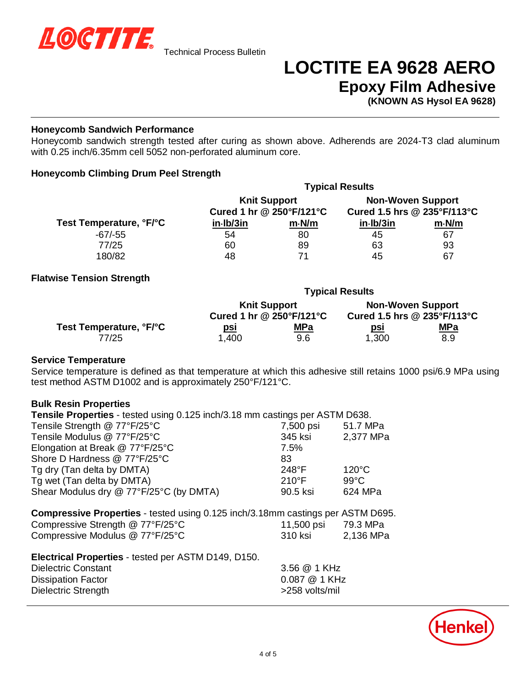

## **LOCTITE EA 9628 AERO Epoxy Film Adhesive**

**(KNOWN AS Hysol EA 9628)**

#### **Honeycomb Sandwich Performance**

Honeycomb sandwich strength tested after curing as shown above. Adherends are 2024-T3 clad aluminum with 0.25 inch/6.35mm cell 5052 non-perforated aluminum core.

#### **Honeycomb Climbing Drum Peel Strength**

| <b>Knit Support</b><br>Cured 1 hr @ 250°F/121°C |    | <b>Non-Woven Support</b><br>Cured 1.5 hrs @ 235°F/113°C |                        |
|-------------------------------------------------|----|---------------------------------------------------------|------------------------|
|                                                 |    |                                                         |                        |
| 54                                              | 80 | 45                                                      | 67                     |
| 60                                              | 89 | 63                                                      | 93                     |
| 48                                              | 71 | 45                                                      | 67                     |
|                                                 |    |                                                         | <b>Typical Results</b> |

#### **Flatwise Tension Strength**

|                         | <b>Typical Results</b>   |                     |                             |                          |  |
|-------------------------|--------------------------|---------------------|-----------------------------|--------------------------|--|
|                         |                          | <b>Knit Support</b> |                             | <b>Non-Woven Support</b> |  |
| Test Temperature, °F/°C | Cured 1 hr @ 250°F/121°C |                     | Cured 1.5 hrs @ 235°F/113°C |                          |  |
|                         | <u>psi</u>               | <u>MPa</u>          | <u>psi</u>                  | <u>MPa</u>               |  |
| 77/25                   | 1,400                    | 9.6                 | 1,300                       | 8.9                      |  |

#### **Service Temperature**

Service temperature is defined as that temperature at which this adhesive still retains 1000 psi/6.9 MPa using test method ASTM D1002 and is approximately 250°F/121°C.

#### **Bulk Resin Properties**

| Tensile Properties - tested using 0.125 inch/3.18 mm castings per ASTM D638.           |                 |                 |  |  |
|----------------------------------------------------------------------------------------|-----------------|-----------------|--|--|
| Tensile Strength @ 77°F/25°C                                                           | 7,500 psi       | 51.7 MPa        |  |  |
| Tensile Modulus @ 77°F/25°C                                                            | 345 ksi         | 2,377 MPa       |  |  |
| Elongation at Break @ 77°F/25°C                                                        | 7.5%            |                 |  |  |
| Shore D Hardness @ 77°F/25°C                                                           | 83              |                 |  |  |
| Tg dry (Tan delta by DMTA)                                                             | $248^{\circ}F$  | $120^{\circ}$ C |  |  |
| Tg wet (Tan delta by DMTA)                                                             | $210^{\circ}$ F | $99^{\circ}$ C  |  |  |
| Shear Modulus dry @ 77°F/25°C (by DMTA)                                                | 90.5 ksi        | 624 MPa         |  |  |
|                                                                                        |                 |                 |  |  |
| <b>Compressive Properties</b> - tested using 0.125 inch/3.18mm castings per ASTM D695. |                 |                 |  |  |
| Compressive Strength @ 77°F/25°C                                                       | 11,500 psi      | 79.3 MPa        |  |  |
| Compressive Modulus @ 77°F/25°C                                                        | 310 ksi         | 2,136 MPa       |  |  |
|                                                                                        |                 |                 |  |  |

| <b>Electrical Properties - tested per ASTM D149, D150.</b> |                 |
|------------------------------------------------------------|-----------------|
| Dielectric Constant                                        | 3.56 @ 1 KHz    |
| <b>Dissipation Factor</b>                                  | $0.087$ @ 1 KHz |
| Dielectric Strength                                        | >258 volts/mil  |